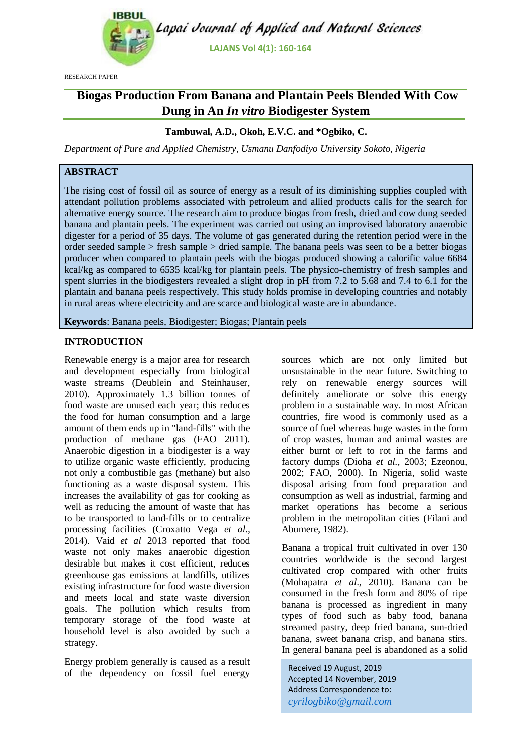

RESEARCH PAPER

# **Biogas Production From Banana and Plantain Peels Blended With Cow Dung in An** *In vitro* **Biodigester System**

#### **Tambuwal, A.D., Okoh, E.V.C. and \*Ogbiko, C.**

*Department of Pure and Applied Chemistry, Usmanu Danfodiyo University Sokoto, Nigeria*

# **ABSTRACT**

The rising cost of fossil oil as source of energy as a result of its diminishing supplies coupled with attendant pollution problems associated with petroleum and allied products calls for the search for alternative energy source. The research aim to produce biogas from fresh, dried and cow dung seeded banana and plantain peels. The experiment was carried out using an improvised laboratory anaerobic digester for a period of 35 days. The volume of gas generated during the retention period were in the order seeded sample > fresh sample > dried sample. The banana peels was seen to be a better biogas producer when compared to plantain peels with the biogas produced showing a calorific value 6684 kcal/kg as compared to 6535 kcal/kg for plantain peels. The physico-chemistry of fresh samples and spent slurries in the biodigesters revealed a slight drop in pH from 7.2 to 5.68 and 7.4 to 6.1 for the plantain and banana peels respectively. This study holds promise in developing countries and notably in rural areas where electricity and are scarce and biological waste are in abundance.

**Keywords**: Banana peels, Biodigester; Biogas; Plantain peels

#### **INTRODUCTION**

Renewable energy is a major area for research and development especially from biological waste streams (Deublein and Steinhauser, 2010). Approximately 1.3 billion tonnes of food waste are unused each year; this reduces the food for human consumption and a large amount of them ends up in "land-fills" with the production of methane gas (FAO 2011). Anaerobic digestion in a biodigester is a way to utilize organic waste efficiently, producing not only a combustible gas (methane) but also functioning as a waste disposal system. This increases the availability of gas for cooking as well as reducing the amount of waste that has to be transported to land-fills or to centralize processing facilities (Croxatto Vega *et al.,*  2014). Vaid *et al* 2013 reported that food waste not only makes anaerobic digestion desirable but makes it cost efficient, reduces greenhouse gas emissions at landfills, utilizes existing infrastructure for food waste diversion and meets local and state waste diversion goals. The pollution which results from temporary storage of the food waste at household level is also avoided by such a strategy.

Energy problem generally is caused as a result of the dependency on fossil fuel energy

sources which are not only limited but unsustainable in the near future. Switching to rely on renewable energy sources will definitely ameliorate or solve this energy problem in a sustainable way. In most African countries, fire wood is commonly used as a source of fuel whereas huge wastes in the form of crop wastes, human and animal wastes are either burnt or left to rot in the farms and factory dumps (Dioha *et al.,* 2003; Ezeonou, 2002; FAO, 2000). In Nigeria, solid waste disposal arising from food preparation and consumption as well as industrial, farming and market operations has become a serious problem in the metropolitan cities (Filani and Abumere, 1982).

Banana a tropical fruit cultivated in over 130 countries worldwide is the second largest cultivated crop compared with other fruits (Mohapatra *et al*., 2010). Banana can be consumed in the fresh form and 80% of ripe banana is processed as ingredient in many types of food such as baby food, banana streamed pastry, deep fried banana, sun-dried banana, sweet banana crisp, and banana stirs. In general banana peel is abandoned as a solid

Received 19 August, 2019 Accepted 14 November, 2019 Address Correspondence to: *[cyrilogbiko@gmail.com](mailto:cyrilogbiko@gmail.com)*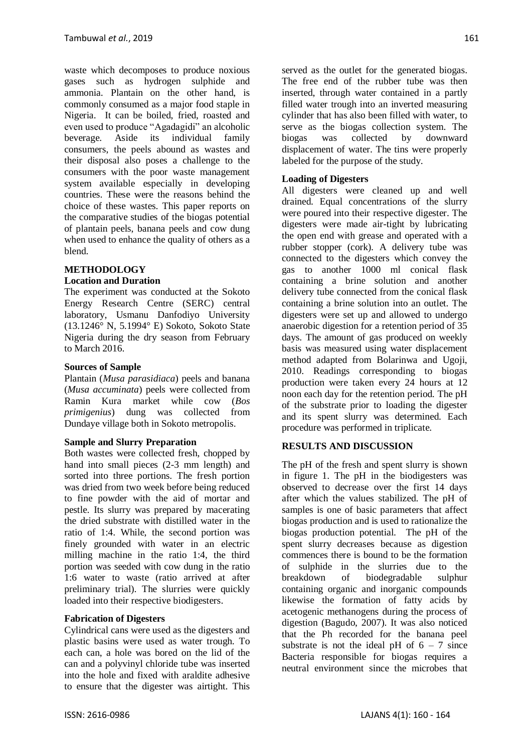waste which decomposes to produce noxious gases such as hydrogen sulphide and ammonia. Plantain on the other hand, is commonly consumed as a major food staple in Nigeria. It can be boiled, fried, roasted and even used to produce "Agadagidi" an alcoholic beverage. Aside its individual family consumers, the peels abound as wastes and their disposal also poses a challenge to the consumers with the poor waste management system available especially in developing countries. These were the reasons behind the choice of these wastes. This paper reports on the comparative studies of the biogas potential of plantain peels, banana peels and cow dung when used to enhance the quality of others as a blend.

#### **METHODOLOGY Location and Duration**

The experiment was conducted at the Sokoto Energy Research Centre (SERC) central laboratory, Usmanu Danfodiyo University (13.1246° N, 5.1994° E) Sokoto, Sokoto State Nigeria during the dry season from February to March 2016.

# **Sources of Sample**

Plantain (*Musa parasidiaca*) peels and banana (*Musa accuminata*) peels were collected from Ramin Kura market while cow (*Bos primigenius*) dung was collected from Dundaye village both in Sokoto metropolis.

# **Sample and Slurry Preparation**

Both wastes were collected fresh, chopped by hand into small pieces (2-3 mm length) and sorted into three portions. The fresh portion was dried from two week before being reduced to fine powder with the aid of mortar and pestle. Its slurry was prepared by macerating the dried substrate with distilled water in the ratio of 1:4. While, the second portion was finely grounded with water in an electric milling machine in the ratio 1:4, the third portion was seeded with cow dung in the ratio 1:6 water to waste (ratio arrived at after preliminary trial). The slurries were quickly loaded into their respective biodigesters.

# **Fabrication of Digesters**

Cylindrical cans were used as the digesters and plastic basins were used as water trough. To each can, a hole was bored on the lid of the can and a polyvinyl chloride tube was inserted into the hole and fixed with araldite adhesive to ensure that the digester was airtight. This

served as the outlet for the generated biogas. The free end of the rubber tube was then inserted, through water contained in a partly filled water trough into an inverted measuring cylinder that has also been filled with water, to serve as the biogas collection system. The biogas was collected by downward displacement of water. The tins were properly labeled for the purpose of the study.

# **Loading of Digesters**

All digesters were cleaned up and well drained. Equal concentrations of the slurry were poured into their respective digester. The digesters were made air-tight by lubricating the open end with grease and operated with a rubber stopper (cork). A delivery tube was connected to the digesters which convey the gas to another 1000 ml conical flask containing a brine solution and another delivery tube connected from the conical flask containing a brine solution into an outlet. The digesters were set up and allowed to undergo anaerobic digestion for a retention period of 35 days. The amount of gas produced on weekly basis was measured using water displacement method adapted from Bolarinwa and Ugoji, 2010. Readings corresponding to biogas production were taken every 24 hours at 12 noon each day for the retention period. The pH of the substrate prior to loading the digester and its spent slurry was determined. Each procedure was performed in triplicate.

# **RESULTS AND DISCUSSION**

The pH of the fresh and spent slurry is shown in figure 1. The pH in the biodigesters was observed to decrease over the first 14 days after which the values stabilized. The pH of samples is one of basic parameters that affect biogas production and is used to rationalize the biogas production potential. The pH of the spent slurry decreases because as digestion commences there is bound to be the formation of sulphide in the slurries due to the breakdown of biodegradable sulphur containing organic and inorganic compounds likewise the formation of fatty acids by acetogenic methanogens during the process of digestion (Bagudo, 2007). It was also noticed that the Ph recorded for the banana peel substrate is not the ideal pH of  $6 - 7$  since Bacteria responsible for biogas requires a neutral environment since the microbes that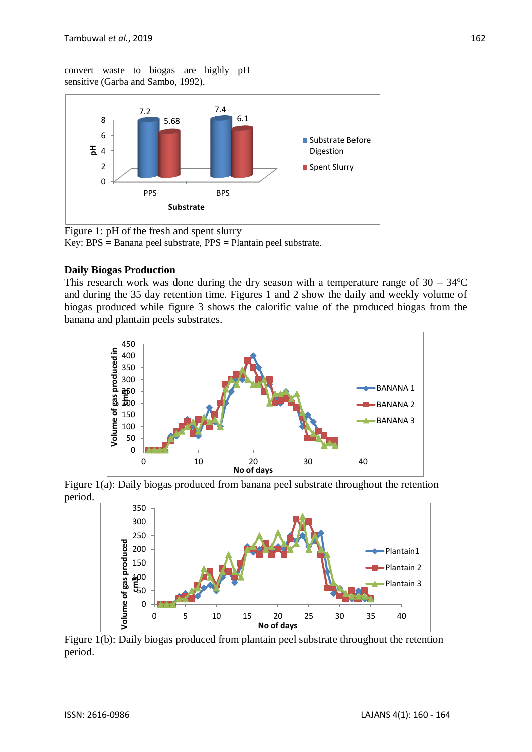convert waste to biogas are highly pH sensitive (Garba and Sambo, 1992).



Figure 1: pH of the fresh and spent slurry Key: BPS = Banana peel substrate, PPS = Plantain peel substrate.

# **Daily Biogas Production**

This research work was done during the dry season with a temperature range of  $30 - 34$ <sup>o</sup>C and during the 35 day retention time. Figures 1 and 2 show the daily and weekly volume of biogas produced while figure 3 shows the calorific value of the produced biogas from the banana and plantain peels substrates.



Figure 1(a): Daily biogas produced from banana peel substrate throughout the retention period.



Figure 1(b): Daily biogas produced from plantain peel substrate throughout the retention period.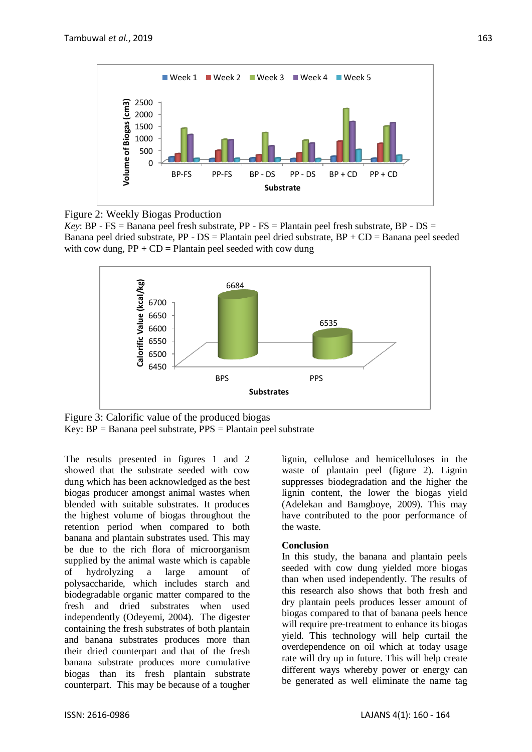

Figure 2: Weekly Biogas Production

*Key*: BP - FS = Banana peel fresh substrate, PP - FS = Plantain peel fresh substrate, BP - DS = Banana peel dried substrate,  $PP - DS = Plant$ ain peel dried substrate,  $BP + CD = Ban$ anana peel seeded with cow dung,  $PP + CD =$  Plantain peel seeded with cow dung



Figure 3: Calorific value of the produced biogas Key:  $BP = Banana$  peel substrate,  $PPS = Planatan$  peel substrate

The results presented in figures 1 and 2 showed that the substrate seeded with cow dung which has been acknowledged as the best biogas producer amongst animal wastes when blended with suitable substrates. It produces the highest volume of biogas throughout the retention period when compared to both banana and plantain substrates used. This may be due to the rich flora of microorganism supplied by the animal waste which is capable of hydrolyzing a large amount of polysaccharide, which includes starch and biodegradable organic matter compared to the fresh and dried substrates when used independently (Odeyemi, 2004). The digester containing the fresh substrates of both plantain and banana substrates produces more than their dried counterpart and that of the fresh banana substrate produces more cumulative biogas than its fresh plantain substrate counterpart. This may be because of a tougher

lignin, cellulose and hemicelluloses in the waste of plantain peel (figure 2). Lignin suppresses biodegradation and the higher the lignin content, the lower the biogas yield (Adelekan and Bamgboye, 2009). This may have contributed to the poor performance of the waste.

#### **Conclusion**

In this study, the banana and plantain peels seeded with cow dung yielded more biogas than when used independently. The results of this research also shows that both fresh and dry plantain peels produces lesser amount of biogas compared to that of banana peels hence will require pre-treatment to enhance its biogas yield. This technology will help curtail the overdependence on oil which at today usage rate will dry up in future. This will help create different ways whereby power or energy can be generated as well eliminate the name tag